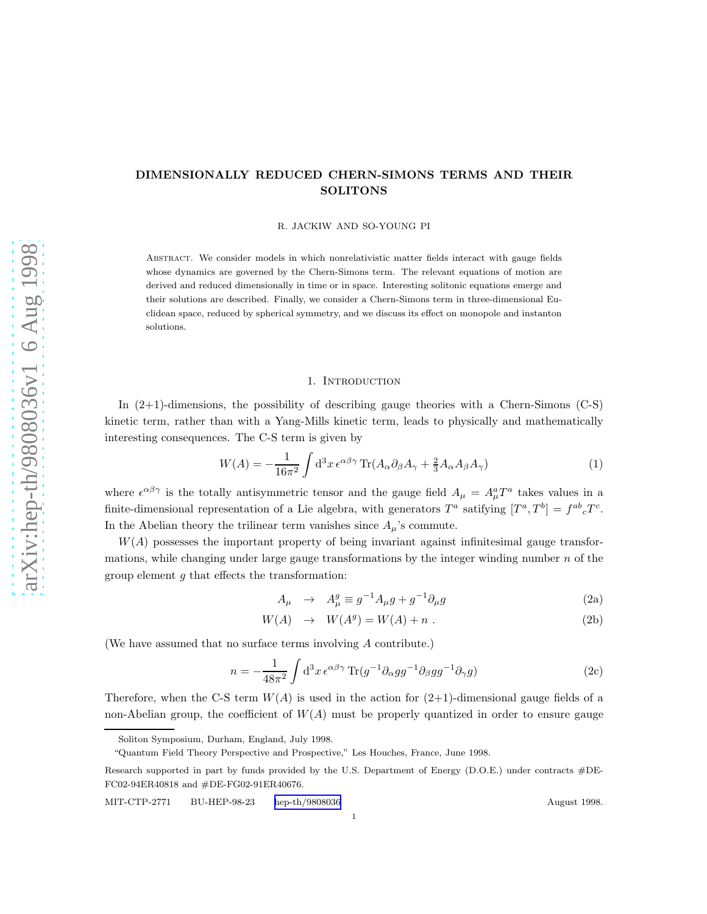# <span id="page-0-0"></span>DIMENSIONALLY REDUCED CHERN-SIMONS TERMS AND THEIR SOLITONS

R. JACKIW AND SO-YOUNG PI

Abstract. We consider models in which nonrelativistic matter fields interact with gauge fields whose dynamics are governed by the Chern-Simons term. The relevant equations of motion are derived and reduced dimensionally in time or in space. Interesting solitonic equations emerge and their solutions are described. Finally, we consider a Chern-Simons term in three-dimensional Euclidean space, reduced by spherical symmetry, and we discuss its effect on monopole and instanton solutions.

## 1. INTRODUCTION

In (2+1)-dimensions, the possibility of describing gauge theories with a Chern-Simons (C-S) kinetic term, rather than with a Yang-Mills kinetic term, leads to physically and mathematically interesting consequences. The C-S term is given by

$$
W(A) = -\frac{1}{16\pi^2} \int d^3x \,\epsilon^{\alpha\beta\gamma} \operatorname{Tr}(A_{\alpha}\partial_{\beta}A_{\gamma} + \frac{2}{3}A_{\alpha}A_{\beta}A_{\gamma})\tag{1}
$$

where  $\epsilon^{\alpha\beta\gamma}$  is the totally antisymmetric tensor and the gauge field  $A_{\mu} = A_{\mu}^a T^a$  takes values in a finite-dimensional representation of a Lie algebra, with generators  $T^a$  satifying  $[T^a, T^b] = f^{ab}{}_c T^c$ . In the Abelian theory the trilinear term vanishes since  $A_\mu$ 's commute.

 $W(A)$  possesses the important property of being invariant against infinitesimal gauge transformations, while changing under large gauge transformations by the integer winding number  $n$  of the group element  $q$  that effects the transformation:

$$
A_{\mu} \rightarrow A_{\mu}^{g} \equiv g^{-1} A_{\mu} g + g^{-1} \partial_{\mu} g \tag{2a}
$$

$$
W(A) \rightarrow W(A^g) = W(A) + n . \tag{2b}
$$

(We have assumed that no surface terms involving A contribute.)

$$
n = -\frac{1}{48\pi^2} \int d^3x \,\epsilon^{\alpha\beta\gamma} \operatorname{Tr}(g^{-1}\partial_\alpha gg^{-1}\partial_\beta gg^{-1}\partial_\gamma g) \tag{2c}
$$

Therefore, when the C-S term  $W(A)$  is used in the action for  $(2+1)$ -dimensional gauge fields of a non-Abelian group, the coefficient of  $W(A)$  must be properly quantized in order to ensure gauge

1

Soliton Symposium, Durham, England, July 1998.

<sup>&</sup>quot;Quantum Field Theory Perspective and Prospective," Les Houches, France, June 1998.

Research supported in part by funds provided by the U.S. Department of Energy (D.O.E.) under contracts #DE-FC02-94ER40818 and #DE-FG02-91ER40676.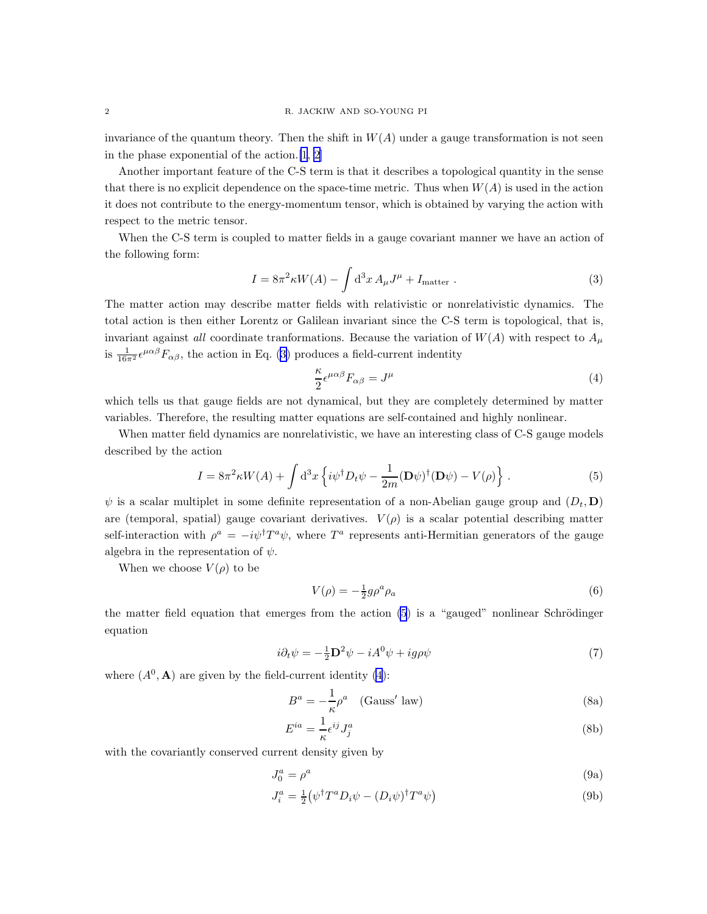<span id="page-1-0"></span>invariance of the quantum theory. Then the shift in  $W(A)$  under a gauge transformation is not seen in the phase exponential of the action.[\[1](#page-8-0), [2](#page-8-0)]

Another important feature of the C-S term is that it describes a topological quantity in the sense that there is no explicit dependence on the space-time metric. Thus when  $W(A)$  is used in the action it does not contribute to the energy-momentum tensor, which is obtained by varying the action with respect to the metric tensor.

When the C-S term is coupled to matter fields in a gauge covariant manner we have an action of the following form:

$$
I = 8\pi^2 \kappa W(A) - \int d^3x A_\mu J^\mu + I_{\text{matter}} . \tag{3}
$$

The matter action may describe matter fields with relativistic or nonrelativistic dynamics. The total action is then either Lorentz or Galilean invariant since the C-S term is topological, that is, invariant against all coordinate tranformations. Because the variation of  $W(A)$  with respect to  $A<sub>u</sub>$ is  $\frac{1}{16\pi^2} \epsilon^{\mu\alpha\beta} F_{\alpha\beta}$ , the action in Eq. (3) produces a field-current indentity

$$
\frac{\kappa}{2} \epsilon^{\mu \alpha \beta} F_{\alpha \beta} = J^{\mu} \tag{4}
$$

which tells us that gauge fields are not dynamical, but they are completely determined by matter variables. Therefore, the resulting matter equations are self-contained and highly nonlinear.

When matter field dynamics are nonrelativistic, we have an interesting class of C-S gauge models described by the action

$$
I = 8\pi^2 \kappa W(A) + \int d^3x \left\{ i\psi^\dagger D_t \psi - \frac{1}{2m} (\mathbf{D}\psi)^\dagger (\mathbf{D}\psi) - V(\rho) \right\}.
$$
 (5)

 $\psi$  is a scalar multiplet in some definite representation of a non-Abelian gauge group and  $(D_t, D)$ are (temporal, spatial) gauge covariant derivatives.  $V(\rho)$  is a scalar potential describing matter self-interaction with  $\rho^a = -i\psi^{\dagger}T^a\psi$ , where  $T^a$  represents anti-Hermitian generators of the gauge algebra in the representation of  $\psi$ .

When we choose  $V(\rho)$  to be

$$
V(\rho) = -\frac{1}{2}g\rho^a \rho_a \tag{6}
$$

the matter field equation that emerges from the action  $(5)$  is a "gauged" nonlinear Schrödinger equation

$$
i\partial_t \psi = -\frac{1}{2} \mathbf{D}^2 \psi - iA^0 \psi + ig\rho \psi \tag{7}
$$

where  $(A^0, \mathbf{A})$  are given by the field-current identity  $(4)$ :

$$
B^{a} = -\frac{1}{\kappa} \rho^{a} \quad \text{(Gauss' law)}\tag{8a}
$$

$$
E^{ia} = \frac{1}{\kappa} \epsilon^{ij} J_j^a \tag{8b}
$$

with the covariantly conserved current density given by

$$
J_0^a = \rho^a \tag{9a}
$$

$$
J_i^a = \frac{1}{2} \left( \psi^\dagger T^a D_i \psi - (D_i \psi)^\dagger T^a \psi \right)
$$
\n(9b)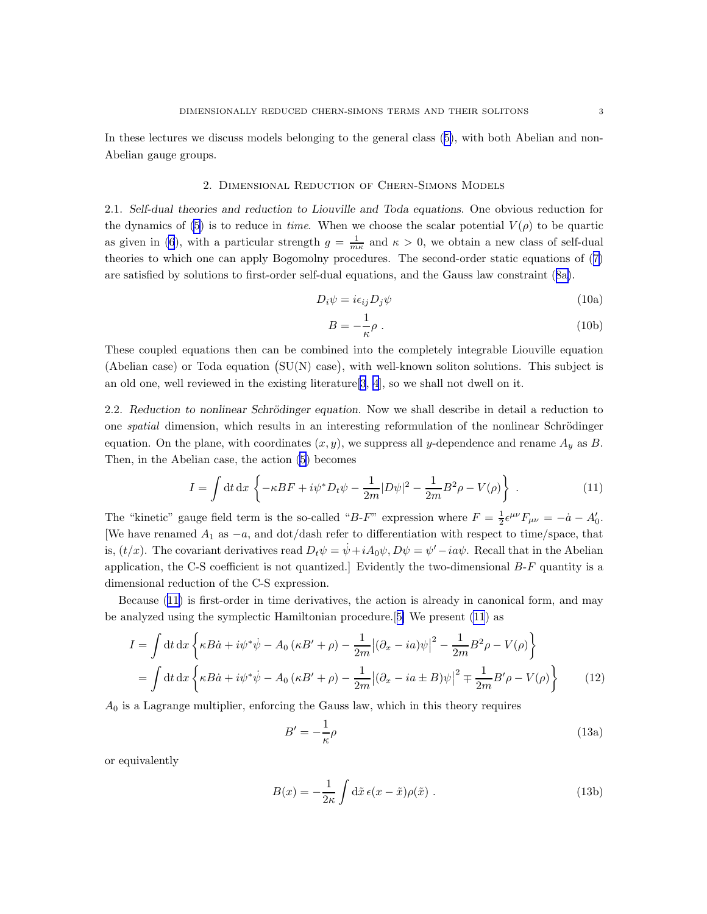<span id="page-2-0"></span>In these lectures we discuss models belonging to the general class([5\)](#page-1-0), with both Abelian and non-Abelian gauge groups.

## 2. Dimensional Reduction of Chern-Simons Models

2.1. Self-dual theories and reduction to Liouville and Toda equations. One obvious reduction for the dynamics of [\(5](#page-1-0)) is to reduce in time. When we choose the scalar potential  $V(\rho)$  to be quartic as given in [\(6](#page-1-0)), with a particular strength  $g = \frac{1}{m\kappa}$  and  $\kappa > 0$ , we obtain a new class of self-dual theories to which one can apply Bogomolny procedures. The second-order static equations of([7\)](#page-1-0) are satisfied by solutions to first-order self-dual equations, and the Gauss law constraint([8a\)](#page-1-0).

$$
D_i \psi = i\epsilon_{ij} D_j \psi \tag{10a}
$$

$$
B = -\frac{1}{\kappa}\rho \; . \tag{10b}
$$

These coupled equations then can be combined into the completely integrable Liouville equation (Abelian case) or Toda equation  $(SU(N)$  case), with well-known soliton solutions. This subject is an old one, well reviewed in the existing literature  $[3, 4]$  $[3, 4]$  $[3, 4]$  $[3, 4]$ , so we shall not dwell on it.

2.2. Reduction to nonlinear Schrödinger equation. Now we shall describe in detail a reduction to one *spatial* dimension, which results in an interesting reformulation of the nonlinear Schrödinger equation. On the plane, with coordinates  $(x, y)$ , we suppress all y-dependence and rename  $A_y$  as B. Then, in the Abelian case, the action [\(5](#page-1-0)) becomes

$$
I = \int dt dx \left\{ -\kappa BF + i\psi^* D_t \psi - \frac{1}{2m} |D\psi|^2 - \frac{1}{2m} B^2 \rho - V(\rho) \right\} . \tag{11}
$$

The "kinetic" gauge field term is the so-called "B-F" expression where  $F = \frac{1}{2} \epsilon^{\mu\nu} F_{\mu\nu} = -\dot{a} - A'_0$ . We have renamed  $A_1$  as  $-a$ , and dot/dash refer to differentiation with respect to time/space, that is,  $(t/x)$ . The covariant derivatives read  $D_t \psi = \dot{\psi} + iA_0 \psi$ ,  $D\psi = \psi' - i a \psi$ . Recall that in the Abelian application, the C-S coefficient is not quantized.] Evidently the two-dimensional B-F quantity is a dimensional reduction of the C-S expression.

Because (11) is first-order in time derivatives, the action is already in canonical form, and may be analyzed using the symplectic Hamiltonian procedure.[[5\]](#page-8-0) We present (11) as

$$
I = \int dt dx \left\{ \kappa B \dot{a} + i \psi^* \dot{\psi} - A_0 (\kappa B' + \rho) - \frac{1}{2m} |(\partial_x - i a)\psi|^2 - \frac{1}{2m} B^2 \rho - V(\rho) \right\}
$$
  
= 
$$
\int dt dx \left\{ \kappa B \dot{a} + i \psi^* \dot{\psi} - A_0 (\kappa B' + \rho) - \frac{1}{2m} |(\partial_x - i a \pm B)\psi|^2 \mp \frac{1}{2m} B' \rho - V(\rho) \right\}
$$
(12)

 $A_0$  is a Lagrange multiplier, enforcing the Gauss law, which in this theory requires

$$
B' = -\frac{1}{\kappa}\rho\tag{13a}
$$

or equivalently

$$
B(x) = -\frac{1}{2\kappa} \int d\tilde{x} \,\epsilon(x - \tilde{x}) \rho(\tilde{x}) \; . \tag{13b}
$$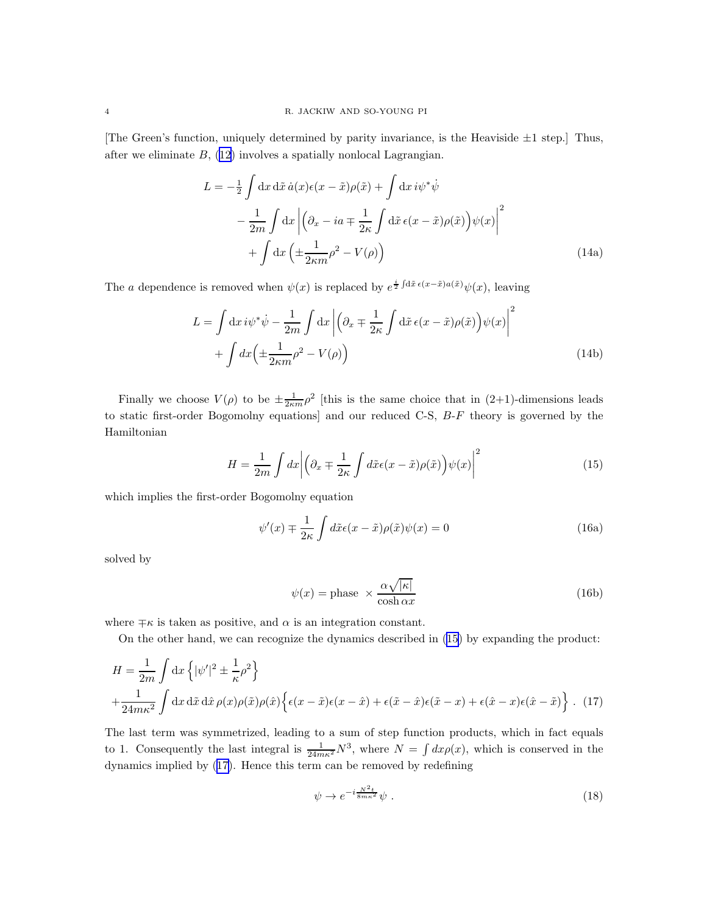<span id="page-3-0"></span>[The Green's function, uniquely determined by parity invariance, is the Heaviside  $\pm 1$  step.] Thus, after we eliminate  $B<sub>1</sub>$ , [\(12](#page-2-0)) involves a spatially nonlocal Lagrangian.

$$
L = -\frac{1}{2} \int dx \, d\tilde{x} \, \dot{a}(x) \epsilon(x - \tilde{x}) \rho(\tilde{x}) + \int dx \, i\psi^* \dot{\psi}
$$

$$
- \frac{1}{2m} \int dx \left| \left( \partial_x - ia + \frac{1}{2\kappa} \int d\tilde{x} \, \epsilon(x - \tilde{x}) \rho(\tilde{x}) \right) \psi(x) \right|^2
$$

$$
+ \int dx \left( \pm \frac{1}{2\kappa m} \rho^2 - V(\rho) \right)
$$
(14a)

The a dependence is removed when  $\psi(x)$  is replaced by  $e^{\frac{i}{2}\int d\tilde{x} \epsilon(x-\tilde{x})a(\tilde{x})}\psi(x)$ , leaving

$$
L = \int dx i\psi^* \dot{\psi} - \frac{1}{2m} \int dx \left| \left( \partial_x \mp \frac{1}{2\kappa} \int d\tilde{x} \, \epsilon(x - \tilde{x}) \rho(\tilde{x}) \right) \psi(x) \right|^2
$$

$$
+ \int dx \left( \pm \frac{1}{2\kappa m} \rho^2 - V(\rho) \right)
$$
(14b)

Finally we choose  $V(\rho)$  to be  $\pm \frac{1}{2\kappa m}\rho^2$  [this is the same choice that in (2+1)-dimensions leads to static first-order Bogomolny equations] and our reduced C-S, B-F theory is governed by the Hamiltonian

$$
H = \frac{1}{2m} \int dx \left| \left( \partial_x \mp \frac{1}{2\kappa} \int d\tilde{x} \epsilon(x - \tilde{x}) \rho(\tilde{x}) \right) \psi(x) \right|^2 \tag{15}
$$

which implies the first-order Bogomolny equation

$$
\psi'(x) \mp \frac{1}{2\kappa} \int d\tilde{x} \epsilon(x - \tilde{x}) \rho(\tilde{x}) \psi(x) = 0 \tag{16a}
$$

solved by

$$
\psi(x) = \text{phase} \times \frac{\alpha \sqrt{|\kappa|}}{\cosh \alpha x} \tag{16b}
$$

where  $\mp \kappa$  is taken as positive, and  $\alpha$  is an integration constant.

On the other hand, we can recognize the dynamics described in (15) by expanding the product:

$$
H = \frac{1}{2m} \int dx \left\{ |\psi'|^2 \pm \frac{1}{\kappa} \rho^2 \right\}
$$
  
 
$$
+ \frac{1}{24m\kappa^2} \int dx \, d\tilde{x} \, d\hat{x} \rho(x) \rho(\tilde{x}) \rho(\hat{x}) \left\{ \epsilon(x - \tilde{x}) \epsilon(x - \hat{x}) + \epsilon(\tilde{x} - \hat{x}) \epsilon(\tilde{x} - x) + \epsilon(\hat{x} - x) \epsilon(\hat{x} - \tilde{x}) \right\} . \tag{17}
$$

The last term was symmetrized, leading to a sum of step function products, which in fact equals to 1. Consequently the last integral is  $\frac{1}{24m\kappa^2}N^3$ , where  $N = \int dx \rho(x)$ , which is conserved in the dynamics implied by (17). Hence this term can be removed by redefining

$$
\psi \to e^{-i\frac{N^2 t}{8m\kappa^2}}\psi \ . \tag{18}
$$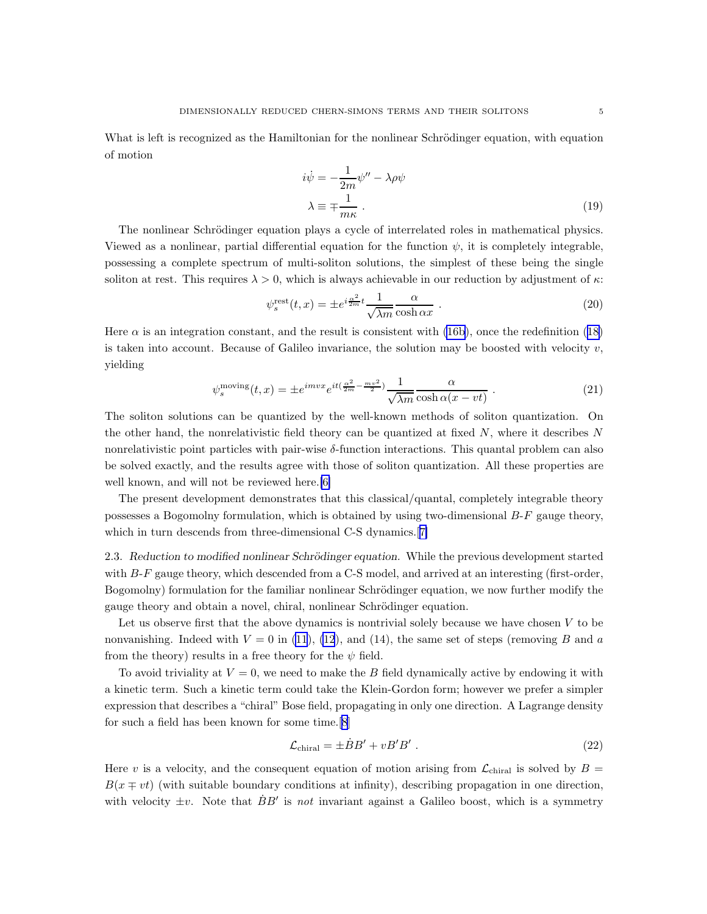<span id="page-4-0"></span>What is left is recognized as the Hamiltonian for the nonlinear Schrödinger equation, with equation of motion

$$
i\dot{\psi} = -\frac{1}{2m}\psi'' - \lambda\rho\psi
$$
  

$$
\lambda \equiv \mp \frac{1}{m\kappa}.
$$
 (19)

The nonlinear Schrödinger equation plays a cycle of interrelated roles in mathematical physics. Viewed as a nonlinear, partial differential equation for the function  $\psi$ , it is completely integrable, possessing a complete spectrum of multi-soliton solutions, the simplest of these being the single soliton at rest. This requires  $\lambda > 0$ , which is always achievable in our reduction by adjustment of  $\kappa$ :

$$
\psi_s^{\text{rest}}(t,x) = \pm e^{i\frac{\alpha^2}{2m}t} \frac{1}{\sqrt{\lambda m}} \frac{\alpha}{\cosh \alpha x} . \tag{20}
$$

Here $\alpha$  is an integration constant, and the result is consistent with [\(16b\)](#page-3-0), once the redefinition ([18\)](#page-3-0) is taken into account. Because of Galileo invariance, the solution may be boosted with velocity  $v$ , yielding

$$
\psi_s^{\text{moving}}(t, x) = \pm e^{imvx} e^{it(\frac{\alpha^2}{2m} - \frac{mv^2}{2})} \frac{1}{\sqrt{\lambda m}} \frac{\alpha}{\cosh \alpha (x - vt)} \,. \tag{21}
$$

The soliton solutions can be quantized by the well-known methods of soliton quantization. On the other hand, the nonrelativistic field theory can be quantized at fixed  $N$ , where it describes  $N$ nonrelativistic point particles with pair-wise  $\delta$ -function interactions. This quantal problem can also be solved exactly, and the results agree with those of soliton quantization. All these properties are well known, and will not be reviewed here.[\[6\]](#page-8-0)

The present development demonstrates that this classical/quantal, completely integrable theory possesses a Bogomolny formulation, which is obtained by using two-dimensional  $B-F$  gauge theory, which in turn descends from three-dimensional C-S dynamics.<sup>[[7\]](#page-8-0)</sup>

2.3. Reduction to modified nonlinear Schrödinger equation. While the previous development started with B-F gauge theory, which descended from a C-S model, and arrived at an interesting (first-order, Bogomolny) formulation for the familiar nonlinear Schrödinger equation, we now further modify the gauge theory and obtain a novel, chiral, nonlinear Schrödinger equation.

Let us observe first that the above dynamics is nontrivial solely because we have chosen  $V$  to be nonvanishing. Indeed with  $V = 0$  in [\(11](#page-2-0)), [\(12](#page-2-0)), and (14), the same set of steps (removing B and a from the theory) results in a free theory for the  $\psi$  field.

To avoid triviality at  $V = 0$ , we need to make the B field dynamically active by endowing it with a kinetic term. Such a kinetic term could take the Klein-Gordon form; however we prefer a simpler expression that describes a "chiral" Bose field, propagating in only one direction. A Lagrange density for such a field has been known for some time.[\[8](#page-8-0)]

$$
\mathcal{L}_{\text{chiral}} = \pm \dot{B}B' + vB'B' \ . \tag{22}
$$

Here v is a velocity, and the consequent equation of motion arising from  $\mathcal{L}_{\text{chiral}}$  is solved by  $B =$  $B(x \mp vt)$  (with suitable boundary conditions at infinity), describing propagation in one direction, with velocity  $\pm v$ . Note that  $\dot{B}B'$  is not invariant against a Galileo boost, which is a symmetry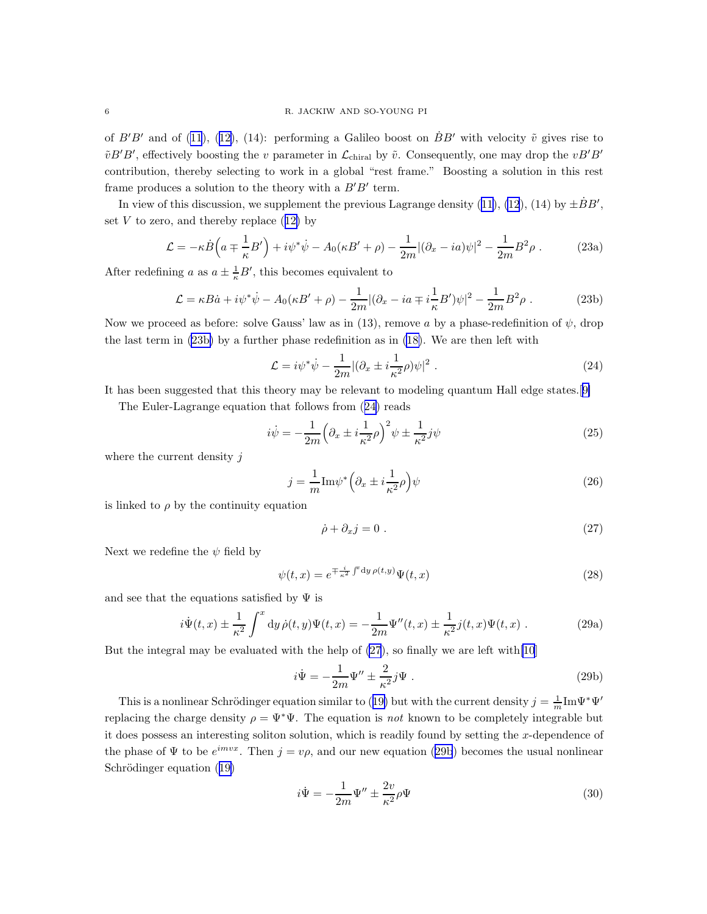<span id="page-5-0"></span>of $B'B'$  and of [\(11](#page-2-0)), ([12\)](#page-2-0), (14): performing a Galileo boost on  $BB'$  with velocity  $\tilde{v}$  gives rise to  $\tilde{v}B'B'$ , effectively boosting the v parameter in  $\mathcal{L}_{\text{chiral}}$  by  $\tilde{v}$ . Consequently, one may drop the  $vB'B'$ contribution, thereby selecting to work in a global "rest frame." Boosting a solution in this rest frame produces a solution to the theory with a  $B'B'$  term.

In view of this discussion, we supplement the previous Lagrange density [\(11](#page-2-0)), [\(12](#page-2-0)), (14) by  $\pm \dot{B}B'$ , set $V$  to zero, and thereby replace  $(12)$  $(12)$  by

$$
\mathcal{L} = -\kappa \dot{B} \left( a \mp \frac{1}{\kappa} B' \right) + i \psi^* \dot{\psi} - A_0 (\kappa B' + \rho) - \frac{1}{2m} |(\partial_x - ia)\psi|^2 - \frac{1}{2m} B^2 \rho . \tag{23a}
$$

After redefining a as  $a \pm \frac{1}{\kappa}B'$ , this becomes equivalent to

$$
\mathcal{L} = \kappa B \dot{a} + i \psi^* \dot{\psi} - A_0 (\kappa B' + \rho) - \frac{1}{2m} |(\partial_x - i a \mp i \frac{1}{\kappa} B') \psi|^2 - \frac{1}{2m} B^2 \rho . \tag{23b}
$$

Now we proceed as before: solve Gauss' law as in (13), remove a by a phase-redefinition of  $\psi$ , drop the last term in (23b) by a further phase redefinition as in [\(18\)](#page-3-0). We are then left with

$$
\mathcal{L} = i\psi^*\dot{\psi} - \frac{1}{2m} |(\partial_x \pm i\frac{1}{\kappa^2}\rho)\psi|^2.
$$
 (24)

It has been suggested that this theory may be relevant to modeling quantum Hall edge states.[[9\]](#page-8-0)

The Euler-Lagrange equation that follows from (24) reads

$$
i\dot{\psi} = -\frac{1}{2m} \left(\partial_x \pm i\frac{1}{\kappa^2} \rho\right)^2 \psi \pm \frac{1}{\kappa^2} j\psi \tag{25}
$$

where the current density  $j$ 

$$
j = \frac{1}{m} \text{Im}\psi^* \left(\partial_x \pm i \frac{1}{\kappa^2} \rho\right) \psi \tag{26}
$$

is linked to  $\rho$  by the continuity equation

$$
\dot{\rho} + \partial_x j = 0 \tag{27}
$$

Next we redefine the  $\psi$  field by

$$
\psi(t,x) = e^{\mp \frac{i}{\kappa^2} \int^x dy \,\rho(t,y)} \Psi(t,x) \tag{28}
$$

and see that the equations satisfied by  $\Psi$  is

$$
i\dot{\Psi}(t,x) \pm \frac{1}{\kappa^2} \int^x dy \,\dot{\rho}(t,y)\Psi(t,x) = -\frac{1}{2m}\Psi''(t,x) \pm \frac{1}{\kappa^2}j(t,x)\Psi(t,x) \; . \tag{29a}
$$

But the integral may be evaluated with the help of  $(27)$ , so finally we are left with  $[10]$  $[10]$ 

$$
i\dot{\Psi} = -\frac{1}{2m}\Psi'' \pm \frac{2}{\kappa^2}j\Psi . \qquad (29b)
$$

Thisis a nonlinear Schrödinger equation similar to ([19\)](#page-4-0) but with the current density  $j = \frac{1}{m} \text{Im}\Psi^* \Psi'$ replacing the charge density  $\rho = \Psi^* \Psi$ . The equation is not known to be completely integrable but it does possess an interesting soliton solution, which is readily found by setting the  $x$ -dependence of the phase of  $\Psi$  to be  $e^{imvx}$ . Then  $j = v\rho$ , and our new equation (29b) becomes the usual nonlinear Schrödingerequation ([19\)](#page-4-0)

$$
i\dot{\Psi} = -\frac{1}{2m}\Psi'' \pm \frac{2v}{\kappa^2}\rho\Psi
$$
\n(30)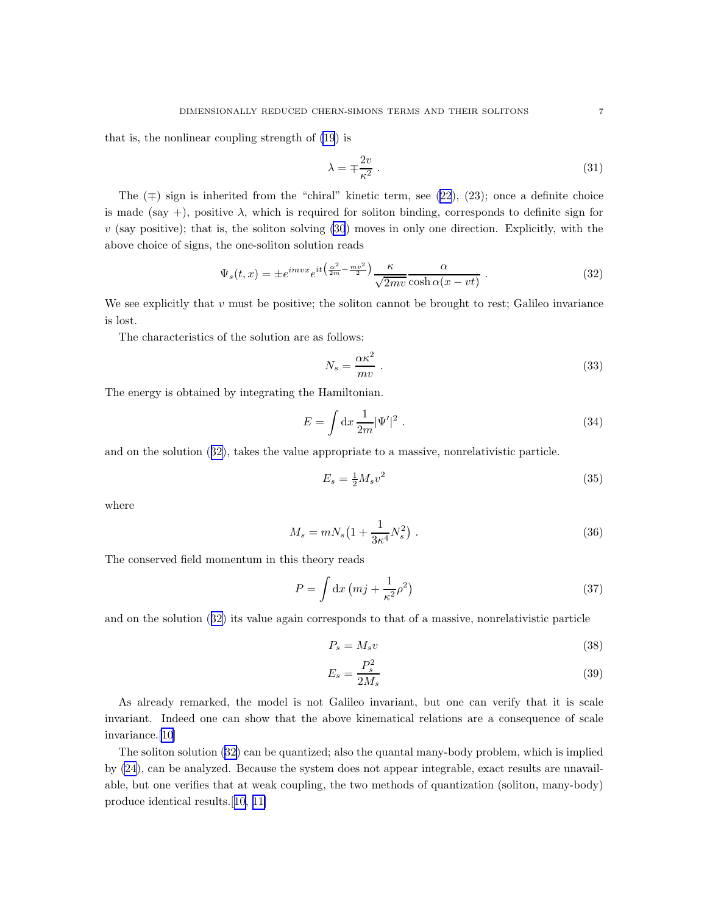that is, the nonlinear coupling strength of [\(19](#page-4-0)) is

$$
\lambda = \mp \frac{2v}{\kappa^2} \,. \tag{31}
$$

The  $(†)$  sign is inherited from the "chiral" kinetic term, see [\(22](#page-4-0)), (23); once a definite choice is made (say +), positive  $\lambda$ , which is required for soliton binding, corresponds to definite sign for  $v$  (say positive); that is, the soliton solving  $(30)$  moves in only one direction. Explicitly, with the above choice of signs, the one-soliton solution reads

$$
\Psi_s(t,x) = \pm e^{imvx} e^{it\left(\frac{\alpha^2}{2m} - \frac{mv^2}{2}\right)} \frac{\kappa}{\sqrt{2mv}} \frac{\alpha}{\cosh\alpha(x - vt)} . \tag{32}
$$

We see explicitly that  $v$  must be positive; the soliton cannot be brought to rest; Galileo invariance is lost.

The characteristics of the solution are as follows:

$$
N_s = \frac{\alpha \kappa^2}{mv} \tag{33}
$$

The energy is obtained by integrating the Hamiltonian.

$$
E = \int \mathrm{d}x \, \frac{1}{2m} |\Psi'|^2 \,. \tag{34}
$$

and on the solution (32), takes the value appropriate to a massive, nonrelativistic particle.

$$
E_s = \frac{1}{2} M_s v^2 \tag{35}
$$

where

$$
M_s = mN_s \left( 1 + \frac{1}{3\kappa^4} N_s^2 \right) \,. \tag{36}
$$

The conserved field momentum in this theory reads

$$
P = \int \mathrm{d}x \left( mj + \frac{1}{\kappa^2} \rho^2 \right) \tag{37}
$$

and on the solution (32) its value again corresponds to that of a massive, nonrelativistic particle

$$
P_s = M_s v \tag{38}
$$

$$
E_s = \frac{P_s^2}{2M_s} \tag{39}
$$

As already remarked, the model is not Galileo invariant, but one can verify that it is scale invariant. Indeed one can show that the above kinematical relations are a consequence of scale invariance.[\[10\]](#page-8-0)

The soliton solution (32) can be quantized; also the quantal many-body problem, which is implied by [\(24](#page-5-0)), can be analyzed. Because the system does not appear integrable, exact results are unavailable, but one verifies that at weak coupling, the two methods of quantization (soliton, many-body) produce identical results.[[10, 11\]](#page-8-0)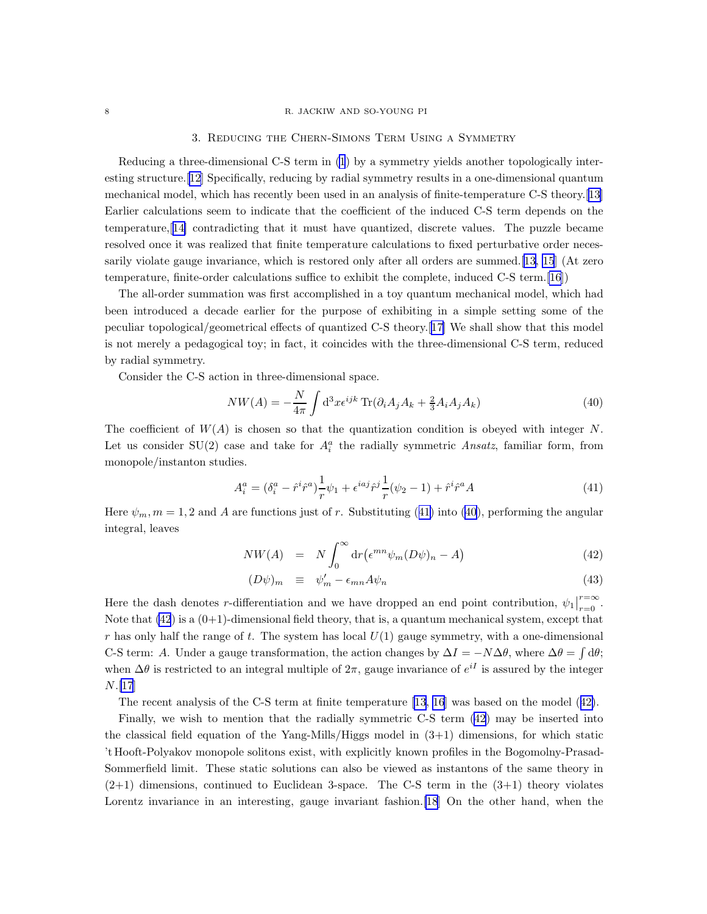### 8 R. JACKIW AND SO-YOUNG PI

## 3. Reducing the Chern-Simons Term Using a Symmetry

Reducing a three-dimensional C-S term in [\(1](#page-0-0)) by a symmetry yields another topologically interesting structure.[\[12\]](#page-8-0) Specifically, reducing by radial symmetry results in a one-dimensional quantum mechanical model, which has recently been used in an analysis of finite-temperature C-S theory.[[13\]](#page-8-0) Earlier calculations seem to indicate that the coefficient of the induced C-S term depends on the temperature,[[14\]](#page-8-0) contradicting that it must have quantized, discrete values. The puzzle became resolved once it was realized that finite temperature calculations to fixed perturbative order necessarily violate gauge invariance, which is restored only after all orders are summed.[\[13](#page-8-0), [15](#page-8-0)] (At zero temperature, finite-order calculations suffice to exhibit the complete, induced C-S term.[\[16](#page-8-0)])

The all-order summation was first accomplished in a toy quantum mechanical model, which had been introduced a decade earlier for the purpose of exhibiting in a simple setting some of the peculiar topological/geometrical effects of quantized C-S theory.[[17\]](#page-8-0) We shall show that this model is not merely a pedagogical toy; in fact, it coincides with the three-dimensional C-S term, reduced by radial symmetry.

Consider the C-S action in three-dimensional space.

$$
NW(A) = -\frac{N}{4\pi} \int d^3x \epsilon^{ijk} \operatorname{Tr}(\partial_i A_j A_k + \frac{2}{3} A_i A_j A_k)
$$
\n(40)

The coefficient of  $W(A)$  is chosen so that the quantization condition is obeyed with integer N. Let us consider SU(2) case and take for  $A_i^a$  the radially symmetric Ansatz, familiar form, from monopole/instanton studies.

$$
A_i^a = (\delta_i^a - \hat{r}^i \hat{r}^a) \frac{1}{r} \psi_1 + \epsilon^{iaj} \hat{r}^j \frac{1}{r} (\psi_2 - 1) + \hat{r}^i \hat{r}^a A \tag{41}
$$

Here  $\psi_m$ ,  $m = 1, 2$  and A are functions just of r. Substituting (41) into (40), performing the angular integral, leaves

$$
NW(A) = N \int_0^\infty dr \left( \epsilon^{mn} \psi_m (D\psi)_n - A \right) \tag{42}
$$

$$
(D\psi)_m \equiv \psi'_m - \epsilon_{mn} A \psi_n \tag{43}
$$

Here the dash denotes r-differentiation and we have dropped an end point contribution,  $\psi_1$  $_{r=0}^{r=\infty}$ . Note that  $(42)$  is a  $(0+1)$ -dimensional field theory, that is, a quantum mechanical system, except that r has only half the range of t. The system has local  $U(1)$  gauge symmetry, with a one-dimensional C-S term: A. Under a gauge transformation, the action changes by  $\Delta I = -N\Delta\theta$ , where  $\Delta\theta = \int d\theta$ ; when  $\Delta\theta$  is restricted to an integral multiple of  $2\pi$ , gauge invariance of  $e^{iI}$  is assured by the integer N.[\[17](#page-8-0)]

The recent analysis of the C-S term at finite temperature [\[13](#page-8-0), [16](#page-8-0)] was based on the model (42).

Finally, we wish to mention that the radially symmetric C-S term (42) may be inserted into the classical field equation of the Yang-Mills/Higgs model in  $(3+1)$  dimensions, for which static 't Hooft-Polyakov monopole solitons exist, with explicitly known profiles in the Bogomolny-Prasad-Sommerfield limit. These static solutions can also be viewed as instantons of the same theory in  $(2+1)$  dimensions, continued to Euclidean 3-space. The C-S term in the  $(3+1)$  theory violates Lorentz invariance in an interesting, gauge invariant fashion. [\[18](#page-8-0)] On the other hand, when the